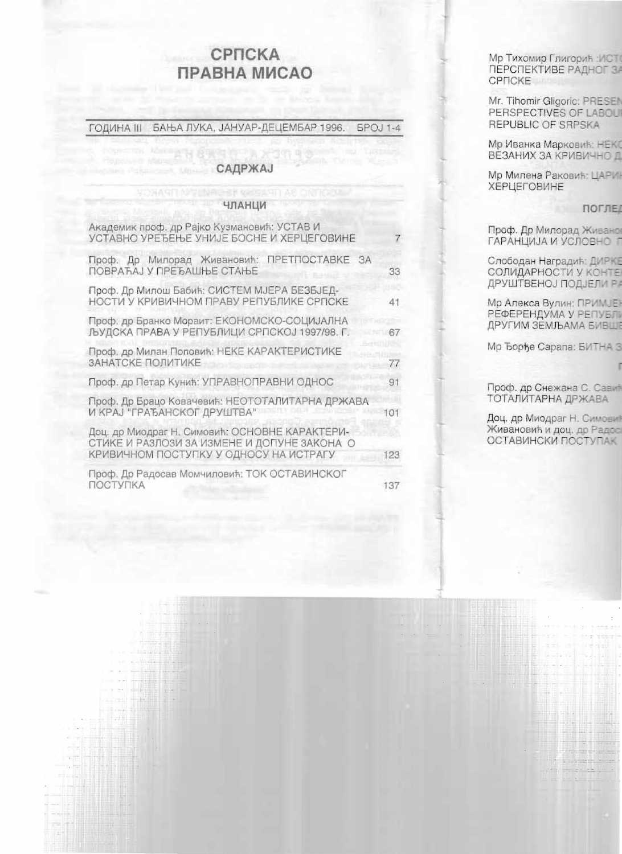## СРПСКА ПРАВНА МИСАО

ГОДИНА III БАЊА ЛУКА, ЈАНУАР-ДЕЦЕМБАР 1996. **BPOJ 1-4** 

## САДРЖАЈ

## ЧЛАНЦИ

H sellsje H

**YOHARD NO** 

| Академик проф. др Рајко Кузмановић: УСТАВ И<br>УСТАВНО УРЕЂЕЊЕ УНИЈЕ БОСНЕ И ХЕРЦЕГОВИНЕ                                                | 7   |
|-----------------------------------------------------------------------------------------------------------------------------------------|-----|
| Проф. Др Милорад Живановић: ПРЕТПОСТАВКЕ<br>$A^2$<br>ПОВРАЋАЈ У ПРЕЂАШЊЕ СТАЊЕ                                                          | 33  |
| Проф. Др Милош Бабић: СИСТЕМ МЈЕРА БЕЗБЈЕД-<br>НОСТИ У КРИВИЧНОМ ПРАВУ РЕПУБЛИКЕ СРПСКЕ                                                 | 41  |
| Проф. др Бранко Мораит: ЕКОНОМСКО-СОЦИЈАЛНА<br>ЉУДСКА ПРАВА У РЕПУБЛИЦИ СРПСКОЈ 1997/98. Г.                                             | 67  |
| Проф. др Милан Поповић: НЕКЕ КАРАКТЕРИСТИКЕ<br>ЗАНАТСКЕ ПОЛИТИКЕ                                                                        | 77  |
| Проф. др Петар Кунић: УПРАВНОПРАВНИ ОДНОС                                                                                               | 91  |
| Проф. Др Брацо Ковачевић: НЕОТОТАЛИТАРНА ДРЖАВА<br>И КРАЈ "ГРАЂАНСКОГ ДРУШТВА"                                                          | 101 |
| Доц. др Миодраг Н. Симовић: ОСНОВНЕ КАРАКТЕРИ-<br>СТИКЕ И РАЗЛОЗИ ЗА ИЗМЕНЕ И ДОПУНЕ ЗАКОНА О<br>КРИВИЧНОМ ПОСТУПКУ У ОДНОСУ НА ИСТРАГУ | 123 |
| Проф. Др Радосав Момчиловић: ТОК ОСТАВИНСКОГ<br>ПОСТУПКА                                                                                | 137 |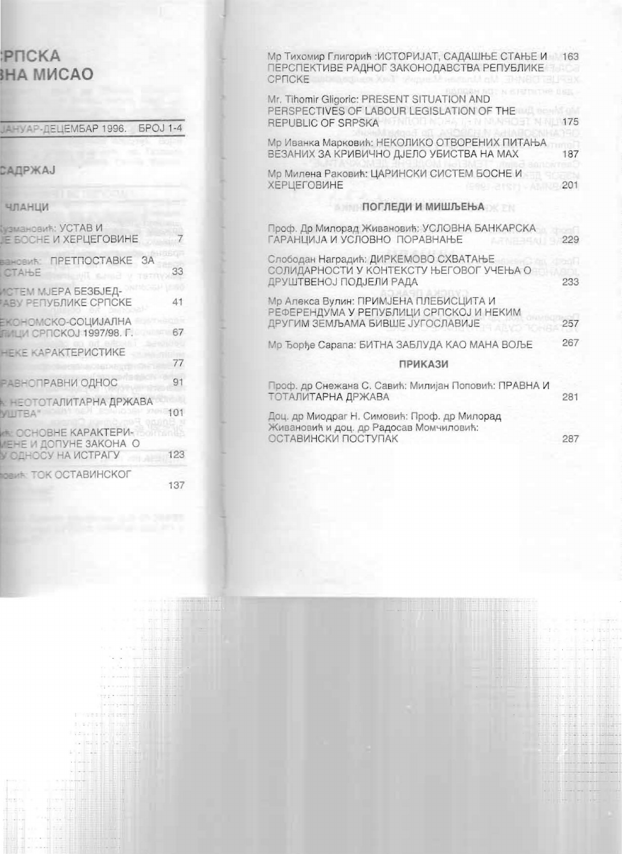| Мр Тихомир Глигорић: ИСТОРИЈАТ, САДАШЊЕ СТАЊЕ И 163 |
|-----------------------------------------------------|
| 175                                                 |
| 187                                                 |
| 201                                                 |
|                                                     |
| 229                                                 |
| 233                                                 |
| 257                                                 |
| 267                                                 |
|                                                     |
| 281                                                 |
| 287                                                 |
|                                                     |